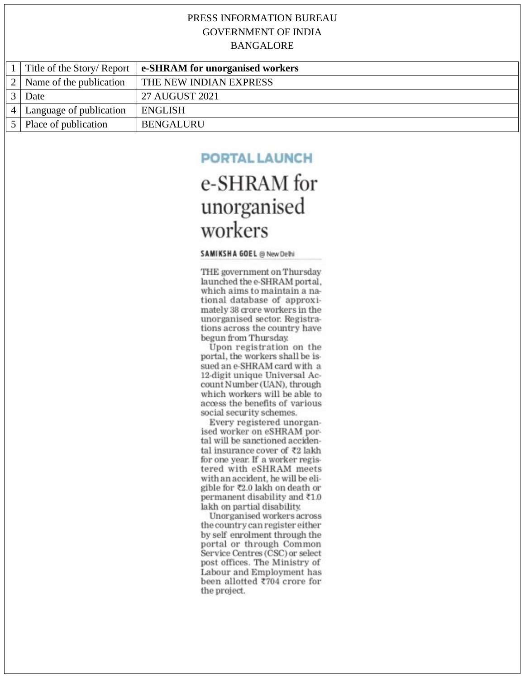|                |                             | Title of the Story/Report $\vert$ e-SHRAM for unorganised workers |
|----------------|-----------------------------|-------------------------------------------------------------------|
| 2 <sup>1</sup> | Name of the publication     | <b>THE NEW INDIAN EXPRESS</b>                                     |
|                | Date                        | 27 AUGUST 2021                                                    |
|                | 4   Language of publication | <b>ENGLISH</b>                                                    |
|                | 5 Place of publication      | <b>BENGALURU</b>                                                  |

#### **PORTAL LAUNCH**

### e-SHRAM for unorganised workers

#### SAMIKSHA GOEL @ New Delhi

THE government on Thursday launched the e-SHRAM portal. which aims to maintain a national database of approximately 38 crore workers in the unorganised sector. Registrations across the country have begun from Thursday.

Upon registration on the portal, the workers shall be issued an e-SHRAM card with a 12-digit unique Universal Account Number (UAN), through which workers will be able to access the benefits of various social security schemes.

Every registered unorganised worker on eSHRAM portal will be sanctioned accidental insurance cover of ₹2 lakh for one year. If a worker registered with eSHRAM meets with an accident, he will be eligible for ₹2.0 lakh on death or permanent disability and ₹1.0 lakh on partial disability.

Unorganised workers across the country can register either by self enrolment through the portal or through Common Service Centres (CSC) or select post offices. The Ministry of Labour and Employment has been allotted ₹704 crore for the project.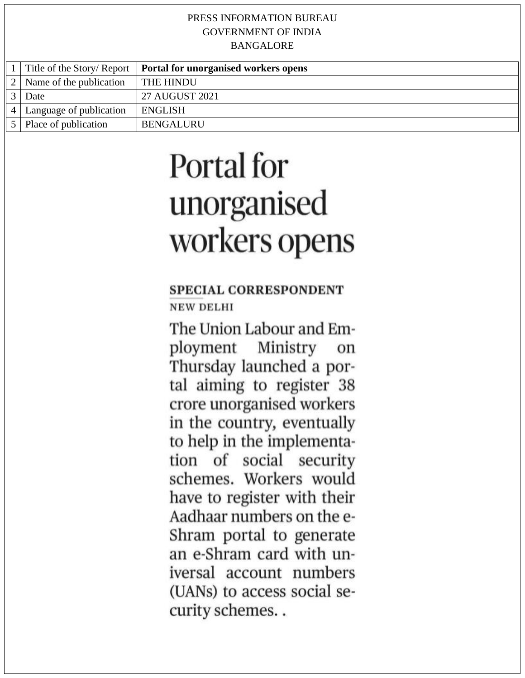|                         | Title of the Story/Report   <b>Portal for unorganised workers opens</b> |
|-------------------------|-------------------------------------------------------------------------|
| Name of the publication | THE HINDU                                                               |
| Date                    | 27 AUGUST 2021                                                          |
| Language of publication | <b>ENGLISH</b>                                                          |
| Place of publication    | <b>BENGALURU</b>                                                        |

# Portal for unorganised workers opens

#### **SPECIAL CORRESPONDENT NEW DELHI**

The Union Labour and Employment Ministry on Thursday launched a portal aiming to register 38 crore unorganised workers in the country, eventually to help in the implementation of social security schemes. Workers would have to register with their Aadhaar numbers on the e-Shram portal to generate an e-Shram card with universal account numbers (UANs) to access social security schemes..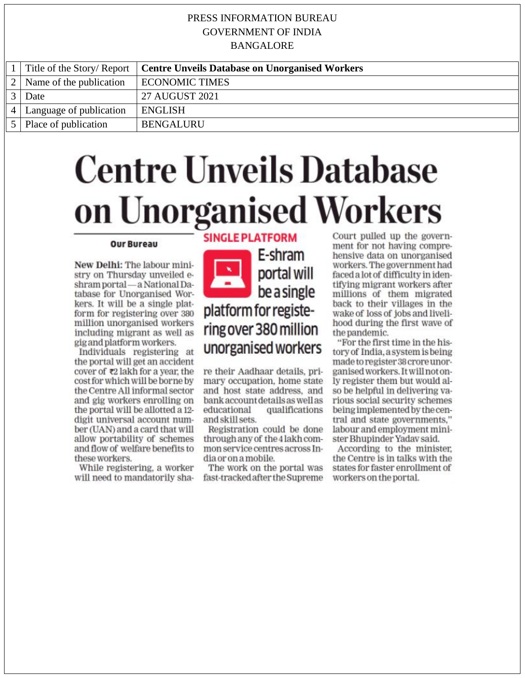|                |                         | Title of the Story/Report   Centre Unveils Database on Unorganised Workers |
|----------------|-------------------------|----------------------------------------------------------------------------|
| 2 <sup>1</sup> | Name of the publication | <b>ECONOMIC TIMES</b>                                                      |
|                | Date                    | 27 AUGUST 2021                                                             |
| $\overline{4}$ | Language of publication | ENGLISH                                                                    |
|                | Place of publication    | <b>BENGALURU</b>                                                           |

## **Centre Unveils Database** on Unorganised Workers **SINGLE PLATFORM**

#### **Our Bureau**

New Delhi: The labour ministry on Thursday unveiled eshram portal - a National Database for Unorganised Workers. It will be a single platform for registering over 380 million unorganised workers including migrant as well as gig and platform workers.

Individuals registering at the portal will get an accident cover of ₹2 lakh for a year, the cost for which will be borne by the Centre All informal sector and gig workers enrolling on the portal will be allotted a 12digit universal account number (UAN) and a card that will allow portability of schemes and flow of welfare benefits to these workers.

While registering, a worker will need to mandatorily sha-

E-shram portal will be a single platform for registering over 380 million unorganised workers

re their Aadhaar details, primary occupation, home state and host state address, and bank account details as well as qualifications educational and skill sets.

Registration could be done through any of the 4 lakh common service centres across India or on a mobile.

The work on the portal was fast-tracked after the Supreme Court pulled up the government for not having comprehensive data on unorganised workers. The government had faced a lot of difficulty in identifving migrant workers after millions of them migrated back to their villages in the wake of loss of jobs and livelihood during the first wave of the pandemic.

"For the first time in the history of India, a system is being made to register 38 crore unorganised workers. It will not only register them but would also be helpful in delivering various social security schemes being implemented by the central and state governments," labour and employment minister Bhupinder Yadav said.

According to the minister. the Centre is in talks with the states for faster enrollment of workers on the portal.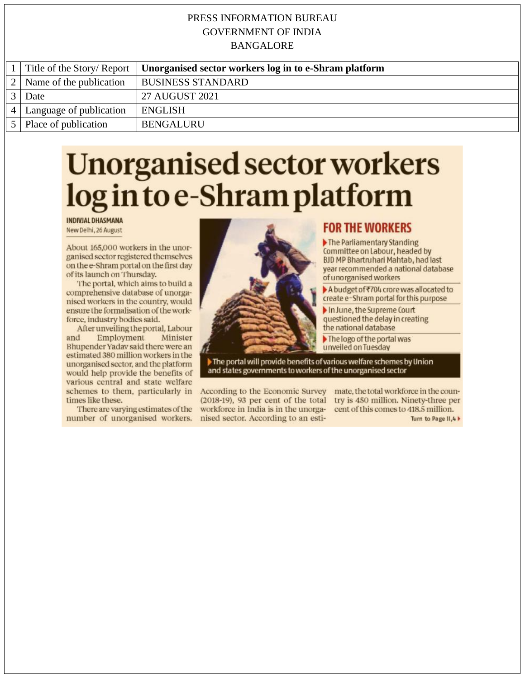|                | Title of the Story/Report | Unorganised sector workers log in to e-Shram platform |
|----------------|---------------------------|-------------------------------------------------------|
| 2 <sup>1</sup> | Name of the publication   | <b>BUSINESS STANDARD</b>                              |
|                | Date                      | 27 AUGUST 2021                                        |
| $\vert$ 4      | Language of publication   | <b>ENGLISH</b>                                        |
|                | 5   Place of publication  | <b>BENGALURU</b>                                      |

## **Unorganised sector workers** log in to e-Shram platform

**INDIVIAL DHASMANA** 

New Delhi, 26 August

About 165,000 workers in the unorganised sector registered themselves on the e-Shram portal on the first day of its launch on Thursday.

The portal, which aims to build a comprehensive database of unorganised workers in the country, would ensure the formalisation of the workforce, industry bodies said.

After unveiling the portal, Labour and Employment Minister Bhupender Yadav said there were an estimated 380 million workers in the unorganised sector, and the platform would help provide the benefits of various central and state welfare schemes to them, particularly in times like these.

There are varying estimates of the number of unorganised workers.



#### **FOR THE WORKERS**

The Parliamentary Standing Committee on Labour, headed by **BJD MP Bhartruhari Mahtab, had last** year recommended a national database of unorganised workers

▶ A budget of ₹704 crore was allocated to create e-Shram portal for this purpose

In June, the Supreme Court questioned the delay in creating the national database

The logo of the portal was unveiled on Tuesday

The portal will provide benefits of various welfare schemes by Union and states governments to workers of the unorganised sector

(2018-19), 93 per cent of the total try is 450 million. Ninety-three per workforce in India is in the unorganised sector. According to an esti-

According to the Economic Survey mate, the total workforce in the councent of this comes to 418.5 million.

Turn to Page II, 4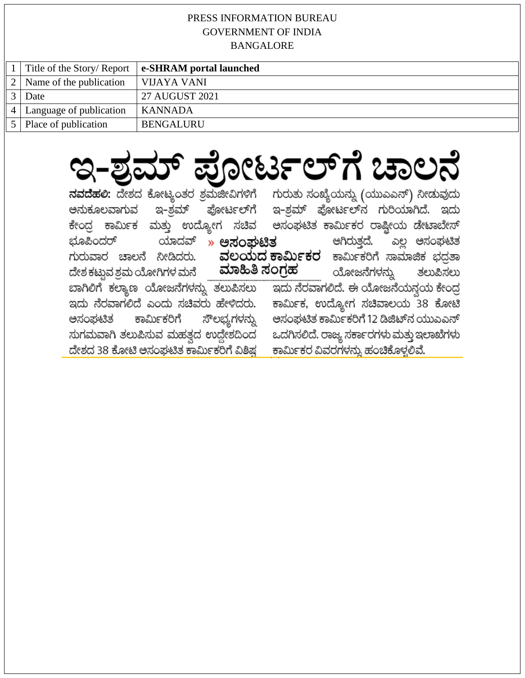|  | Title of the Story/ Report | e-SHRAM portal launched |  |
|--|----------------------------|-------------------------|--|
|  | Name of the publication    | VIJAYA VANI             |  |
|  | Date                       | 27 AUGUST 2021          |  |
|  | Language of publication    | KANNADA                 |  |
|  | Place of publication       | <b>BENGALURU</b>        |  |
|  |                            |                         |  |

## ಇ-ಶ್ರಮ್ ಪೋರ್ಟಲ್ಗೆ ಚಾಲನೆ ನವದೆಹಲಿ: ದೇಶದ ಕೋಟ್ಯಂತರ ಶ್ರಮಜೀವಿಗಳಿಗೆ ಗುರುತು ಸಂಖ್ಯೆಯನ್ನು (ಯುಎಎನ್) ನೀಡುವುದು

| ಅನುಕೂಲವಾಗುವ                                                           | ಇ-ಶಮ್ ಪೋರ್ಟಲ್ಗ       |                                           | ಇ-ಶ್ರಮ್ ಪೋರ್ಟಲ್ನ ಗುರಿಯಾಗಿದೆ. ಇದು          |                          |
|-----------------------------------------------------------------------|----------------------|-------------------------------------------|-------------------------------------------|--------------------------|
| ಕೇಂದ್ರ ಕಾರ್ಮಿಕ ಮತ್ತು ಉದ್ಯೋಗ ಸಚಿವ                                      |                      |                                           | ಅಸಂಘಟಿತ ಕಾರ್ಮಿಕರ ರಾಷ್ಟೀಯ ಡೇಟಾಬೇಸ್         |                          |
| ಭೂಪಿಂದರ್ ಯಾದವ್                                                        | ಅಸಂಘಟಿತ<br>$\lambda$ |                                           |                                           | ಆಗಿರುತ್ತದೆ. ಎಲ್ಲ ಅಸಂಘಟಿತ |
| ಗುರುವಾರ ಚಾಲನೆ ನೀಡಿದರು. <b>ವಲಯದರ್ಕಾರ್ಮಿಕರ</b> ಕಾರ್ಮಿಕರಿಗೆ ಸಾಮಾಜಿಕ ಭದತಾ |                      |                                           |                                           |                          |
| ದೇಶ ಕಟ್ಟುವ ಶ್ರಮ ಯೋಗಿಗಳ ಮನೆ                                            |                      | <b>ಮಾಹಿತಿ ಸಂಗ್ರಹ</b> ಯೋಜನೆಗಳನ್ನು ತಲುಪಿಸಲು |                                           |                          |
| ಬಾಗಿಲಿಗೆ ಕಲ್ಯಾಣ ಯೋಜನೆಗಳನ್ನು ತಲುಪಿಸಲು                                  |                      |                                           | ಇದು ನೆರವಾಗಲಿದೆ. ಈ ಯೋಜನೆಯನ್ತಯ ಕೇಂದ್ರ       |                          |
| ಇದು ನೆರವಾಗಲಿದೆ ಎಂದು ಸಚಿವರು ಹೇಳಿದರು.                                   |                      |                                           | ಕಾರ್ಮಿಕ, ಉದ್ಯೋಗ ಸಚಿವಾಲಯ 38 ಕೋಟಿ           |                          |
| ಅಸಂಘಟಿತ ಕಾರ್ಮಿಕರಿಗೆ ಸೌಲಭ್ಯಗಳನ್ನು                                      |                      |                                           | ಅಸಂಘಟಿತ ಕಾರ್ಮಿಕರಿಗೆ 12 ಡಿಜಿಟ್ನ ಯುಎಎನ್     |                          |
| ಸುಗಮವಾಗಿ ತಲುಪಿಸುವ ಮಹತ್ತದ ಉದ್ದೇಶದಿಂದ                                   |                      |                                           | ಒದಗಿಸಲಿದೆ. ರಾಜ್ಯ ಸರ್ಕಾರಗಳು ಮತ್ತು ಇಲಾಖೆಗಳು |                          |
| ದೇಶದ 38 ಕೋಟಿ ಅಸಂಪ್ರಟಿತ ಕಾರ್ಮಿಕರಿಗೆ ವಿಶಿಷ                              |                      |                                           | ಕಾರ್ಮಿಕರ ವಿವರಗಳನ್ನು ಹಂಚಿಕೊಳ್ಳಲಿವೆ.        |                          |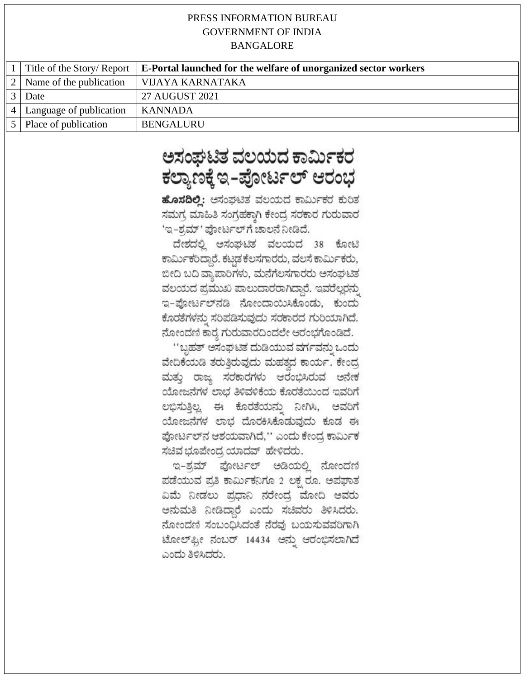|                |                         | Title of the Story/Report   E-Portal launched for the welfare of unorganized sector workers |
|----------------|-------------------------|---------------------------------------------------------------------------------------------|
| 2 <sub>1</sub> | Name of the publication | VIJAYA KARNATAKA                                                                            |
|                | Date                    | 27 AUGUST 2021                                                                              |
|                | Language of publication | KANNADA                                                                                     |
|                | Place of publication    | <b>BENGALURU</b>                                                                            |

### ಅಸಂಘಟಿತ ವಲಯದ ಕಾರ್ಮಿಕರ ಕಲ್ಯಾಣಕ್ಕೆ ಇ-ಪೋರ್ಟಲ್ ಆರಂಭ

ಹೊಸದಿಲ್ಲಿ: ಆಸಂಘಟಿತ ವಲಯದ ಕಾರ್ಮಿಕರ ಕುರಿತ ಸಮಗ್ರ ಮಾಹಿತಿ ಸಂಗ್ರಹಕ್ಕಾಗಿ ಕೇಂದ್ರ ಸರಕಾರ ಗುರುವಾರ 'ಇ-ಶ್ರಮ್' ಪೋರ್ಟಲ್ ಗೆ ಚಾಲನೆ ನೀಡಿದೆ.

ದೇಶದಲ್ಲಿ ಅಸಂಘಟಿತ ವಲಯದ 38 ಕೋಟಿ ಕಾರ್ಮಿಕರಿದ್ದಾರೆ. ಕಟಡ ಕೆಲಸಗಾರರು, ವಲಸೆ ಕಾರ್ಮಿಕರು, ಬೀದಿ ಬದಿ ವ್ಯಾಪಾರಿಗಳು, ಮನೆಗೆಲಸಗಾರರು ಅಸಂಘಟಿತ ವಲಯದ ಪ್ರಮುಖ ಪಾಲುದಾರರಾಗಿದ್ದಾರೆ. ಇವರೆಲ್ಲರನ್ನು ಇ-ಪೋರ್ಟಲ್ನಡಿ ನೋಂದಾಯಿಸಿಕೊಂಡು, ಕುಂದು ಕೊರತೆಗಳನ್ನು ಸರಿಪಡಿಸುವುದು ಸರಕಾರದ ಗುರಿಯಾಗಿದೆ. ನೋಂದಣಿ ಕಾರ್ತ ಗುರುವಾರದಿಂದಲೇ ಆರಂಭಗೊಂಡಿದೆ.

''ಬ್ಬಹತ್ ಆಸಂಘಟಿತ ದುಡಿಯುವ ವರ್ಗವನ್ನು ಒಂದು ವೇದಿಕೆಯಡಿ ತರುತ್ತಿರುವುದು ಮಹತ್ತದ ಕಾರ್ಯ. ಕೇಂದ್ರ ಮತ್ತು ರಾಜ್ಯ ಸರಕಾರಗಳು ಆರಂಭಿಸಿರುವ ಅನೇಕ ಯೋಜನೆಗಳ ಲಾಭ ತಿಳಿವಳಿಕೆಯ ಕೊರತೆಯಿಂದ ಇವರಿಗೆ ಲಭಿಸುತ್ತಿಲ್ಲ. ಈ ಕೊರತೆಯನ್ನು ನೀಗಿಸಿ, ಅವರಿಗೆ ಯೋಜನೆಗಳ ಲಾಭ ದೊರಕಿಸಿಕೊಡುವುದು ಕೂಡ ಈ ಪೋರ್ಟಲ್ನ್ ಆಶಯವಾಗಿದೆ,'' ಎಂದು ಕೇಂದ್ರ ಕಾರ್ಮಿಕ ಸಚಿವ ಭೂಪೇಂದ್ರ ಯಾದವ್ ಹೇಳಿದರು.

ಇ-ಶ್ರಮ್ ಪೋರ್ಟಲ್ ಅಡಿಯಲ್ಲಿ ನೋಂದಣಿ ಪಡೆಯುವ ಪ್ರತಿ ಕಾರ್ಮಿಕನಿಗೂ 2 ಲಕ್ತ ರೂ. ಅಪಘಾತ ವಿಮೆ ನೀಡಲು ಪ್ರಧಾನಿ ನರೇಂದ್ರ ಮೋದಿ ಅವರು ಅನುಮತಿ ನೀಡಿದ್ದಾರೆ ಎಂದು ಸಚಿವರು ತಿಳಿಸಿದರು. ನೋಂದಣಿ ಸಂಬಂಧಿಸಿದಂತೆ ನೆರವು ಬಯಸುವವರಿಗಾಗಿ ಟೋಲ್ಫೋ ನಂಬರ್ 14434 ಅನ್ನು ಆರಂಭಿಸಲಾಗಿದೆ ಎಂದು ತಿಳಿಸಿದರು.